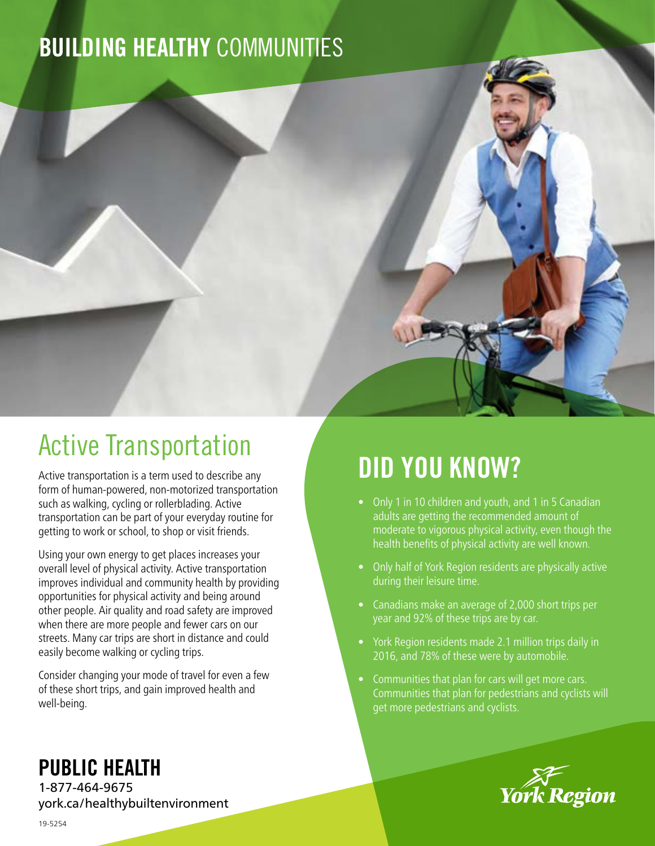# BUILDING HEALTHY COMMUNITIES



## Active Transportation

Active transportation is a term used to describe any form of human-powered, non-motorized transportation such as walking, cycling or rollerblading. Active transportation can be part of your everyday routine for getting to work or school, to shop or visit friends.

Using your own energy to get places increases your overall level of physical activity. Active transportation improves individual and community health by providing opportunities for physical activity and being around other people. Air quality and road safety are improved when there are more people and fewer cars on our streets. Many car trips are short in distance and could easily become walking or cycling trips.

Consider changing your mode of travel for even a few of these short trips, and gain improved health and well-being.

# DID YOU KNOW?

- Only 1 in 10 children and youth, and 1 in 5 Canadian adults are getting the recommended amount of moderate to vigorous physical activity, even though the health benefits of physical activity are well known.
- Only half of York Region residents are physically active during their leisure time.
- Canadians make an average of 2,000 short trips per year and 92% of these trips are by car.
- York Region residents made 2.1 million trips daily in 2016, and 78% of these were by automobile.
- Communities that plan for cars will get more cars. Communities that plan for pedestrians and cyclists will get more pedestrians and cyclists.



### PUBLIC HEALTH

1-877-464-9675 york.ca/healthybuiltenvironment